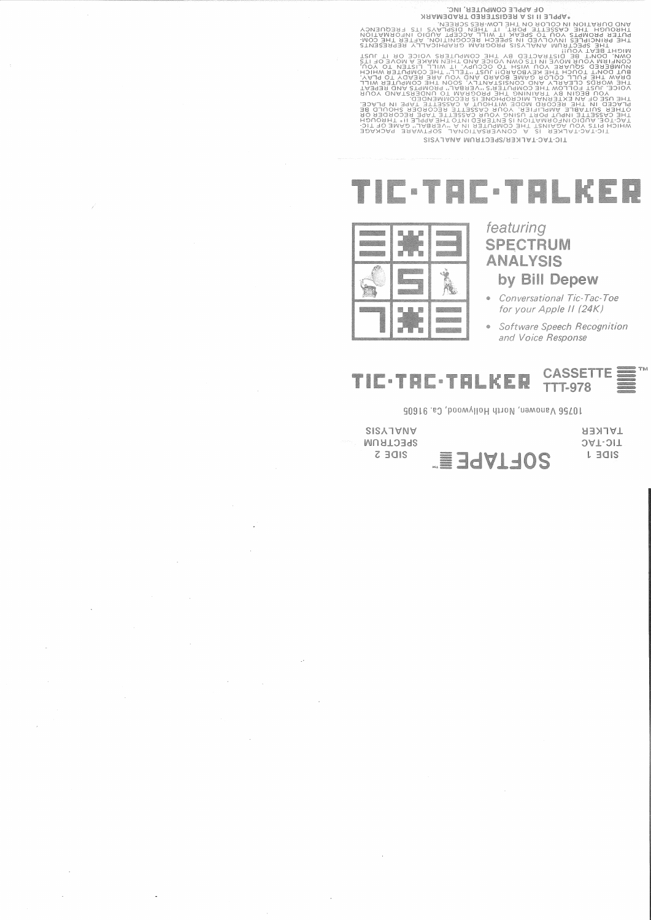3 WP TO THE COMPUTER, INC.<br>
THE COMPUTER INC.<br>
THE COMPUTER IS A REGISTERED TRADEMARK<br>
THE COMPUTER IN A REGISTER IN A THE CONSULT IN THE CONSULT IN THE CONSULT IN THE CONSULT IN THE CONSULT IN THE CONSULT IN THE CONSULT I TIC-TAC-TALKER/SPECTRUM ANALYSIS

## TIC·TAC·TALKER



featuring **SPECTRUM ANALYSIS** by Bill Depew

- Conversational Tic-Tac-Toe for your Apple II (24K)
- $\bullet$ Software Speech Recognition and Voice Response

TALKER

**JAT-JIT** 

L EQIS

**CASSETTE:** TIC-TRC-TRLKER **TTT-978** 

70756 Vanowen, North Hollywood, Ca. 91605

SISATVNV SPECTRUM SIDE 2 SOFTAPE E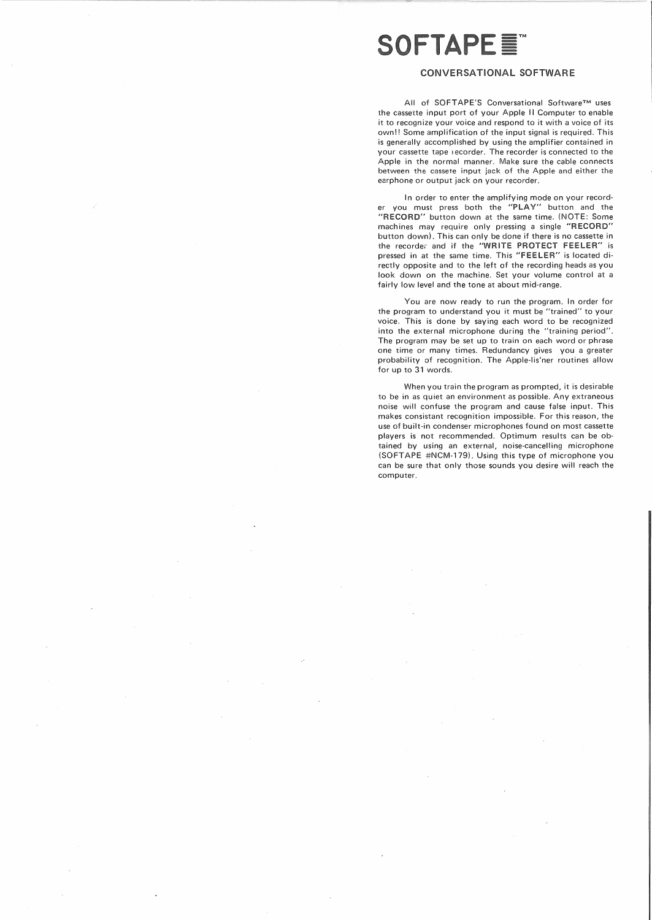## **SOFTAPE E**

## CONVERSATIONAL SOFTWARE

All of SOFTAPE'S Conversational Software™ uses the cassette input port of your Apple II Computer to enable it to recognize your voice and respond to it with a voice of its own!! Some amplification of the input signal is required. This is generally accomplished by using the amplifier contained in your cassette tape recorder. The recorder is connected to the Apple in the normal manner. Make sure the cable connects between the cassete input jack of the Apple and either the earphone or output jack on your recorder.

In order to enter the amplifying mode on your recorder you must press both the "PLAY" button and the "RECORD" button down at the same time. (NOTE: Some machines may require only pressing a single "RECORD" button down). This can only be done if there is no cassette in the recorder and if the "WRITE PROTECT FEELER" is pressed in at the same time. This "FEELER" is located directly opposite and to the left of the recording heads as you look down on the machine. Set your volume control at a fairly low level and the tone at about mid-range.

You are now ready to run the program. In order for the program to understand you it must be "trained" to your voice. This is done by saying each word to be recognized into the external microphone during the "training period". The program may be set up to train on each word or phrase one time or many times. Redundancy gives you a greater probability of recognition. The Apple-lis'ner routines allow for up to 31 words.

When you train the program as prompted, it is desirable to be in as quiet an environment as possible. Any extraneous noise will confuse the program and cause false input. This makes consistant recognition impossible. For this reason, the use of built-in condenser microphones found on most cassette players is not recommended. Optimum results can be obtained by using an external, noise-cancelling microphone (SOFTAPE #NCM-179). Using this type of microphone you can be sure that only those sounds you desire will reach the computer.